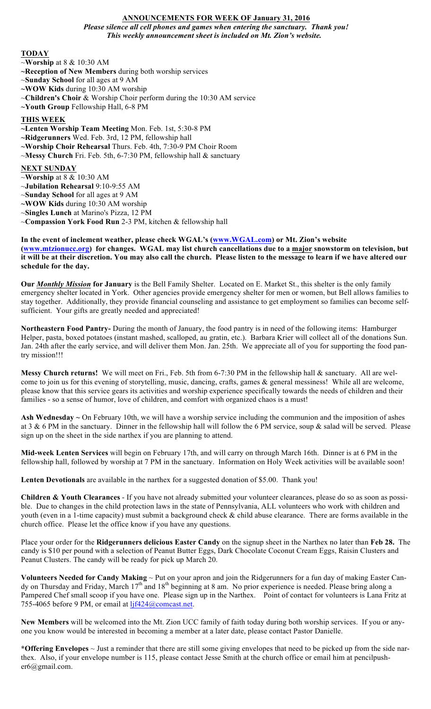# **ANNOUNCEMENTS FOR WEEK OF January 31, 2016** *Please silence all cell phones and games when entering the sanctuary. Thank you! This weekly announcement sheet is included on Mt. Zion's website.*

#### **TODAY**

- ~**Worship** at 8 & 10:30 AM
- **~Reception of New Members** during both worship services
- ~**Sunday School** for all ages at 9 AM
- **~WOW Kids** during 10:30 AM worship
- ~**Children's Choir** & Worship Choir perform during the 10:30 AM service
- **~Youth Group** Fellowship Hall, 6-8 PM

### **THIS WEEK**

- **~Lenten Worship Team Meeting** Mon. Feb. 1st, 5:30-8 PM
- **~Ridgerunners** Wed. Feb. 3rd, 12 PM, fellowship hall
- **~Worship Choir Rehearsal** Thurs. Feb. 4th, 7:30-9 PM Choir Room
- ~**Messy Church** Fri. Feb. 5th, 6-7:30 PM, fellowship hall & sanctuary

# **NEXT SUNDAY**

- ~**Worship** at 8 & 10:30 AM
- ~**Jubilation Rehearsal** 9:10-9:55 AM
- ~**Sunday School** for all ages at 9 AM
- **~WOW Kids** during 10:30 AM worship
- ~**Singles Lunch** at Marino's Pizza, 12 PM
- ~**Compassion York Food Run** 2-3 PM, kitchen & fellowship hall

### **In the event of inclement weather, please check WGAL's (www.WGAL.com) or Mt. Zion's website (www.mtzionucc.org) for changes. WGAL may list church cancellations due to a major snowstorm on television, but it will be at their discretion. You may also call the church. Please listen to the message to learn if we have altered our schedule for the day.**

**Our** *Monthly Mission* **for January** is the Bell Family Shelter. Located on E. Market St., this shelter is the only family emergency shelter located in York. Other agencies provide emergency shelter for men or women, but Bell allows families to stay together. Additionally, they provide financial counseling and assistance to get employment so families can become selfsufficient. Your gifts are greatly needed and appreciated!

**Northeastern Food Pantry-** During the month of January, the food pantry is in need of the following items: Hamburger Helper, pasta, boxed potatoes (instant mashed, scalloped, au gratin, etc.). Barbara Krier will collect all of the donations Sun. Jan. 24th after the early service, and will deliver them Mon. Jan. 25th. We appreciate all of you for supporting the food pantry mission!!!

**Messy Church returns!** We will meet on Fri., Feb. 5th from 6-7:30 PM in the fellowship hall & sanctuary. All are welcome to join us for this evening of storytelling, music, dancing, crafts, games & general messiness! While all are welcome, please know that this service gears its activities and worship experience specifically towards the needs of children and their families - so a sense of humor, love of children, and comfort with organized chaos is a must!

**Ash Wednesday ~** On February 10th, we will have a worship service including the communion and the imposition of ashes at 3 & 6 PM in the sanctuary. Dinner in the fellowship hall will follow the 6 PM service, soup & salad will be served. Please sign up on the sheet in the side narthex if you are planning to attend.

**Mid-week Lenten Services** will begin on February 17th, and will carry on through March 16th. Dinner is at 6 PM in the fellowship hall, followed by worship at 7 PM in the sanctuary. Information on Holy Week activities will be available soon!

**Lenten Devotionals** are available in the narthex for a suggested donation of \$5.00. Thank you!

**Children & Youth Clearances** - If you have not already submitted your volunteer clearances, please do so as soon as possible. Due to changes in the child protection laws in the state of Pennsylvania, ALL volunteers who work with children and youth (even in a 1-time capacity) must submit a background check & child abuse clearance. There are forms available in the church office. Please let the office know if you have any questions.

Place your order for the **Ridgerunners delicious Easter Candy** on the signup sheet in the Narthex no later than **Feb 28.** The candy is \$10 per pound with a selection of Peanut Butter Eggs, Dark Chocolate Coconut Cream Eggs, Raisin Clusters and Peanut Clusters. The candy will be ready for pick up March 20.

**Volunteers Needed for Candy Making** ~ Put on your apron and join the Ridgerunners for a fun day of making Easter Candy on Thursday and Friday, March  $17<sup>th</sup>$  and  $18<sup>th</sup>$  beginning at 8 am. No prior experience is needed. Please bring along a Pampered Chef small scoop if you have one. Please sign up in the Narthex. Point of contact for volunteers is Lana Fritz at 755-4065 before 9 PM, or email at  $l$ jf424@comcast.net.

**New Members** will be welcomed into the Mt. Zion UCC family of faith today during both worship services. If you or anyone you know would be interested in becoming a member at a later date, please contact Pastor Danielle.

**\*Offering Envelopes** ~ Just a reminder that there are still some giving envelopes that need to be picked up from the side narthex. Also, if your envelope number is 115, please contact Jesse Smith at the church office or email him at pencilpusher6@gmail.com.